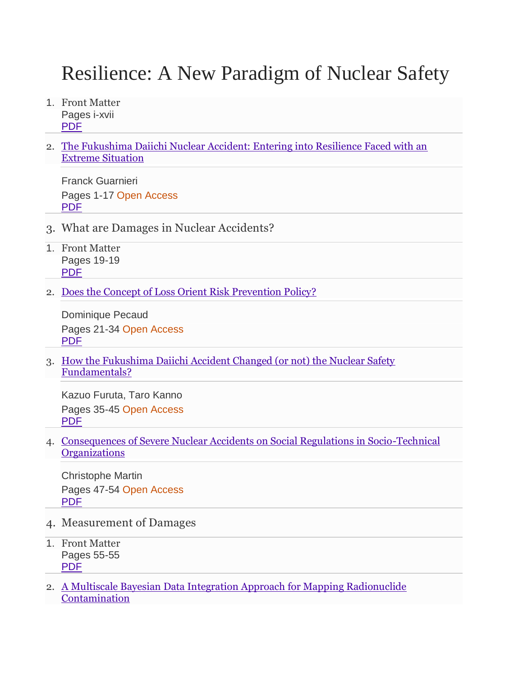## Resilience: A New Paradigm of Nuclear Safety

- 1. Front Matter Pages i-xvii [PDF](https://db.vista.gov.vn:2093/content/pdf/bfm%3A978-3-319-58768-4%2F1.pdf)
- 2. [The Fukushima Daiichi Nuclear Accident: Entering into Resilience Faced with an](https://db.vista.gov.vn:2093/chapter/10.1007/978-3-319-58768-4_1)  [Extreme Situation](https://db.vista.gov.vn:2093/chapter/10.1007/978-3-319-58768-4_1)

Franck Guarnieri Pages 1-17 Open Access [PDF](https://db.vista.gov.vn:2093/content/pdf/10.1007%2F978-3-319-58768-4_1.pdf)

- 3. What are Damages in Nuclear Accidents?
- 1. Front Matter Pages 19-19 [PDF](https://db.vista.gov.vn:2093/content/pdf/bfm%3A978-3-319-58768-4%2F1%2F1.pdf)
- 2. [Does the Concept of Loss Orient Risk Prevention Policy?](https://db.vista.gov.vn:2093/chapter/10.1007/978-3-319-58768-4_2)

Dominique Pecaud Pages 21-34 Open Access [PDF](https://db.vista.gov.vn:2093/content/pdf/10.1007%2F978-3-319-58768-4_2.pdf)

3. [How the Fukushima Daiichi Accident Changed \(or not\) the Nuclear Safety](https://db.vista.gov.vn:2093/chapter/10.1007/978-3-319-58768-4_3)  [Fundamentals?](https://db.vista.gov.vn:2093/chapter/10.1007/978-3-319-58768-4_3)

Kazuo Furuta, Taro Kanno Pages 35-45 Open Access [PDF](https://db.vista.gov.vn:2093/content/pdf/10.1007%2F978-3-319-58768-4_3.pdf)

4. [Consequences of Severe Nuclear Accidents on Social Regulations in Socio-Technical](https://db.vista.gov.vn:2093/chapter/10.1007/978-3-319-58768-4_4)  **[Organizations](https://db.vista.gov.vn:2093/chapter/10.1007/978-3-319-58768-4_4)** 

Christophe Martin Pages 47-54 Open Access [PDF](https://db.vista.gov.vn:2093/content/pdf/10.1007%2F978-3-319-58768-4_4.pdf)

- 4. Measurement of Damages
- 1. Front Matter Pages 55-55 [PDF](https://db.vista.gov.vn:2093/content/pdf/bfm%3A978-3-319-58768-4%2F2%2F1.pdf)
- 2. [A Multiscale Bayesian Data Integration Approach for Mapping Radionuclide](https://db.vista.gov.vn:2093/chapter/10.1007/978-3-319-58768-4_5)  [Contamination](https://db.vista.gov.vn:2093/chapter/10.1007/978-3-319-58768-4_5)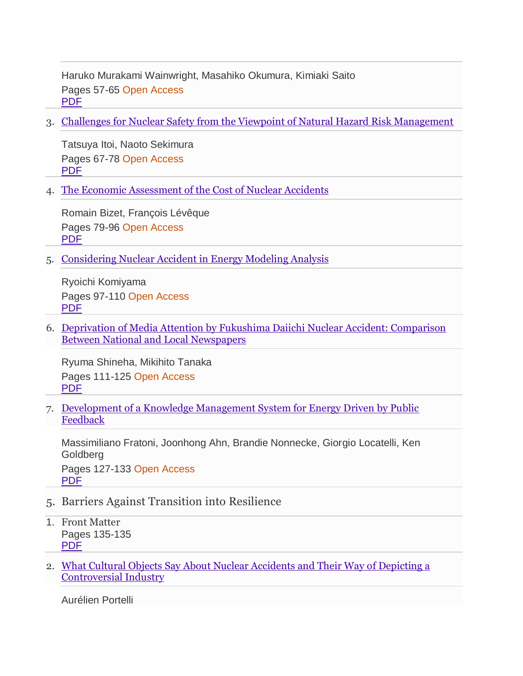Haruko Murakami Wainwright, Masahiko Okumura, Kimiaki Saito Pages 57-65 Open Access [PDF](https://db.vista.gov.vn:2093/content/pdf/10.1007%2F978-3-319-58768-4_5.pdf)

3. [Challenges for Nuclear Safety from the Viewpoint of Natural Hazard Risk Management](https://db.vista.gov.vn:2093/chapter/10.1007/978-3-319-58768-4_6)

Tatsuya Itoi, Naoto Sekimura Pages 67-78 Open Access [PDF](https://db.vista.gov.vn:2093/content/pdf/10.1007%2F978-3-319-58768-4_6.pdf)

4. [The Economic Assessment of the Cost of Nuclear Accidents](https://db.vista.gov.vn:2093/chapter/10.1007/978-3-319-58768-4_7)

Romain Bizet, François Lévêque Pages 79-96 Open Access [PDF](https://db.vista.gov.vn:2093/content/pdf/10.1007%2F978-3-319-58768-4_7.pdf)

5. [Considering Nuclear Accident in Energy Modeling Analysis](https://db.vista.gov.vn:2093/chapter/10.1007/978-3-319-58768-4_8)

Ryoichi Komiyama Pages 97-110 Open Access [PDF](https://db.vista.gov.vn:2093/content/pdf/10.1007%2F978-3-319-58768-4_8.pdf)

6. [Deprivation of Media Attention by Fukushima Daiichi Nuclear Accident: Comparison](https://db.vista.gov.vn:2093/chapter/10.1007/978-3-319-58768-4_9)  [Between National and Local Newspapers](https://db.vista.gov.vn:2093/chapter/10.1007/978-3-319-58768-4_9)

Ryuma Shineha, Mikihito Tanaka Pages 111-125 Open Access [PDF](https://db.vista.gov.vn:2093/content/pdf/10.1007%2F978-3-319-58768-4_9.pdf)

7. [Development of a Knowledge Management System for Energy Driven by Public](https://db.vista.gov.vn:2093/chapter/10.1007/978-3-319-58768-4_10)  **[Feedback](https://db.vista.gov.vn:2093/chapter/10.1007/978-3-319-58768-4_10)** 

Massimiliano Fratoni, Joonhong Ahn, Brandie Nonnecke, Giorgio Locatelli, Ken Goldberg Pages 127-133 Open Access

[PDF](https://db.vista.gov.vn:2093/content/pdf/10.1007%2F978-3-319-58768-4_10.pdf)

- 5. Barriers Against Transition into Resilience
- 1. Front Matter Pages 135-135 [PDF](https://db.vista.gov.vn:2093/content/pdf/bfm%3A978-3-319-58768-4%2F3%2F1.pdf)
- 2. [What Cultural Objects Say About Nuclear Accidents and Their Way of Depicting a](https://db.vista.gov.vn:2093/chapter/10.1007/978-3-319-58768-4_11)  [Controversial Industry](https://db.vista.gov.vn:2093/chapter/10.1007/978-3-319-58768-4_11)

Aurélien Portelli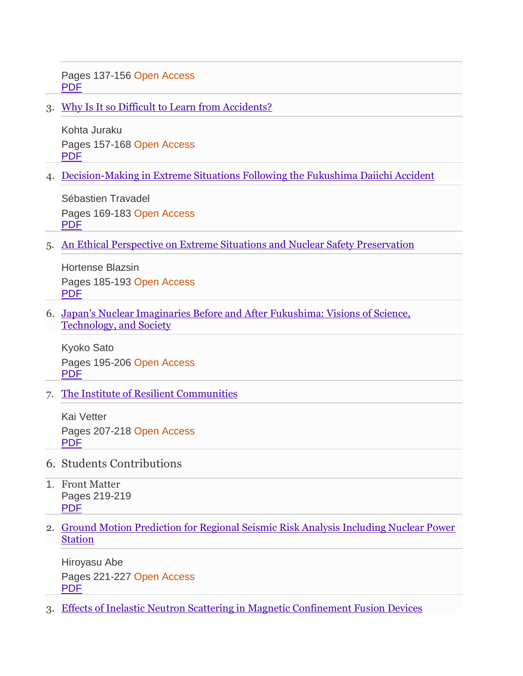Pages 137-156 Open Access [PDF](https://db.vista.gov.vn:2093/content/pdf/10.1007%2F978-3-319-58768-4_11.pdf)

3. [Why Is It so Difficult to Learn from Accidents?](https://db.vista.gov.vn:2093/chapter/10.1007/978-3-319-58768-4_12)

Kohta Juraku Pages 157-168 Open Access [PDF](https://db.vista.gov.vn:2093/content/pdf/10.1007%2F978-3-319-58768-4_12.pdf)

4. [Decision-Making in Extreme Situations Following the Fukushima Daiichi Accident](https://db.vista.gov.vn:2093/chapter/10.1007/978-3-319-58768-4_13)

Sébastien Travadel Pages 169-183 Open Access [PDF](https://db.vista.gov.vn:2093/content/pdf/10.1007%2F978-3-319-58768-4_13.pdf)

5. [An Ethical Perspective on Extreme Situations and Nuclear Safety Preservation](https://db.vista.gov.vn:2093/chapter/10.1007/978-3-319-58768-4_14)

Hortense Blazsin Pages 185-193 Open Access [PDF](https://db.vista.gov.vn:2093/content/pdf/10.1007%2F978-3-319-58768-4_14.pdf)

6. [Japan's Nuclear Imaginaries Before and After Fukushima: Visions of Science,](https://db.vista.gov.vn:2093/chapter/10.1007/978-3-319-58768-4_15)  [Technology, and Society](https://db.vista.gov.vn:2093/chapter/10.1007/978-3-319-58768-4_15)

Kyoko Sato Pages 195-206 Open Access [PDF](https://db.vista.gov.vn:2093/content/pdf/10.1007%2F978-3-319-58768-4_15.pdf)

7. [The Institute of Resilient Communities](https://db.vista.gov.vn:2093/chapter/10.1007/978-3-319-58768-4_16)

Kai Vetter Pages 207-218 Open Access [PDF](https://db.vista.gov.vn:2093/content/pdf/10.1007%2F978-3-319-58768-4_16.pdf)

- 6. Students Contributions
- 1. Front Matter Pages 219-219 [PDF](https://db.vista.gov.vn:2093/content/pdf/bfm%3A978-3-319-58768-4%2F4%2F1.pdf)
- 2. [Ground Motion Prediction for Regional Seismic Risk Analysis Including Nuclear Power](https://db.vista.gov.vn:2093/chapter/10.1007/978-3-319-58768-4_17)  [Station](https://db.vista.gov.vn:2093/chapter/10.1007/978-3-319-58768-4_17)

Hiroyasu Abe Pages 221-227 Open Access [PDF](https://db.vista.gov.vn:2093/content/pdf/10.1007%2F978-3-319-58768-4_17.pdf)

3. [Effects of Inelastic Neutron Scattering in Magnetic Confinement Fusion Devices](https://db.vista.gov.vn:2093/chapter/10.1007/978-3-319-58768-4_18)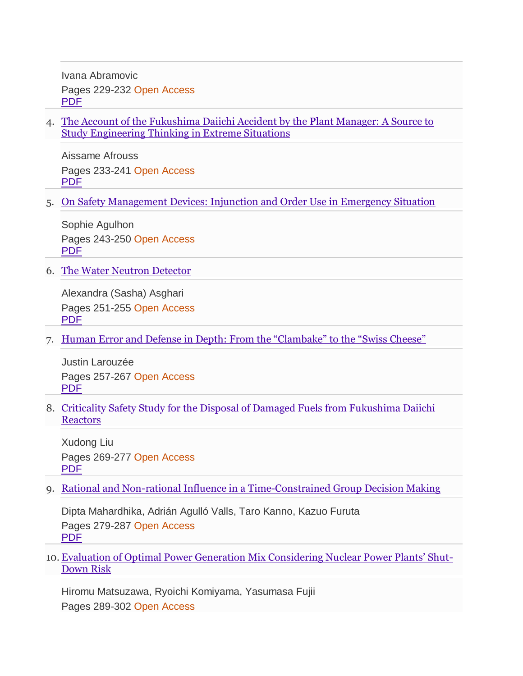Ivana Abramovic Pages 229-232 Open Access [PDF](https://db.vista.gov.vn:2093/content/pdf/10.1007%2F978-3-319-58768-4_18.pdf)

4. [The Account of the Fukushima Daiichi Accident by the Plant Manager: A Source to](https://db.vista.gov.vn:2093/chapter/10.1007/978-3-319-58768-4_19)  [Study Engineering Thinking in Extreme Situations](https://db.vista.gov.vn:2093/chapter/10.1007/978-3-319-58768-4_19)

Aissame Afrouss Pages 233-241 Open Access [PDF](https://db.vista.gov.vn:2093/content/pdf/10.1007%2F978-3-319-58768-4_19.pdf)

5. [On Safety Management Devices: Injunction and Order Use in Emergency Situation](https://db.vista.gov.vn:2093/chapter/10.1007/978-3-319-58768-4_20)

Sophie Agulhon Pages 243-250 Open Access [PDF](https://db.vista.gov.vn:2093/content/pdf/10.1007%2F978-3-319-58768-4_20.pdf)

6. [The Water Neutron Detector](https://db.vista.gov.vn:2093/chapter/10.1007/978-3-319-58768-4_21)

Alexandra (Sasha) Asghari Pages 251-255 Open Access [PDF](https://db.vista.gov.vn:2093/content/pdf/10.1007%2F978-3-319-58768-4_21.pdf)

7. [Human Error and Defense in Depth: From the "Clambake" to the "Swiss Cheese"](https://db.vista.gov.vn:2093/chapter/10.1007/978-3-319-58768-4_22)

Justin Larouzée Pages 257-267 Open Access [PDF](https://db.vista.gov.vn:2093/content/pdf/10.1007%2F978-3-319-58768-4_22.pdf)

8. [Criticality Safety Study for the Disposal of Damaged Fuels from Fukushima Daiichi](https://db.vista.gov.vn:2093/chapter/10.1007/978-3-319-58768-4_23)  **[Reactors](https://db.vista.gov.vn:2093/chapter/10.1007/978-3-319-58768-4_23)** 

Xudong Liu Pages 269-277 Open Access [PDF](https://db.vista.gov.vn:2093/content/pdf/10.1007%2F978-3-319-58768-4_23.pdf)

9. [Rational and Non-rational Influence in a Time-Constrained Group Decision Making](https://db.vista.gov.vn:2093/chapter/10.1007/978-3-319-58768-4_24)

Dipta Mahardhika, Adrián Agulló Valls, Taro Kanno, Kazuo Furuta Pages 279-287 Open Access [PDF](https://db.vista.gov.vn:2093/content/pdf/10.1007%2F978-3-319-58768-4_24.pdf)

10. [Evaluation of Optimal Power Generation Mix Considering Nuclear Power Plants' Shut](https://db.vista.gov.vn:2093/chapter/10.1007/978-3-319-58768-4_25)-[Down Risk](https://db.vista.gov.vn:2093/chapter/10.1007/978-3-319-58768-4_25)

Hiromu Matsuzawa, Ryoichi Komiyama, Yasumasa Fujii Pages 289-302 Open Access